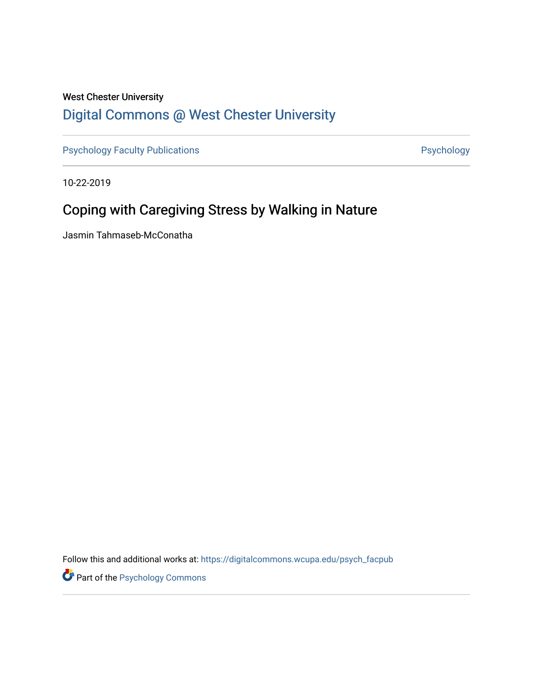## West Chester University [Digital Commons @ West Chester University](https://digitalcommons.wcupa.edu/)

[Psychology Faculty Publications](https://digitalcommons.wcupa.edu/psych_facpub) **Psychology** Psychology

10-22-2019

## Coping with Caregiving Stress by Walking in Nature

Jasmin Tahmaseb-McConatha

Follow this and additional works at: [https://digitalcommons.wcupa.edu/psych\\_facpub](https://digitalcommons.wcupa.edu/psych_facpub?utm_source=digitalcommons.wcupa.edu%2Fpsych_facpub%2F39&utm_medium=PDF&utm_campaign=PDFCoverPages)

**Part of the Psychology Commons**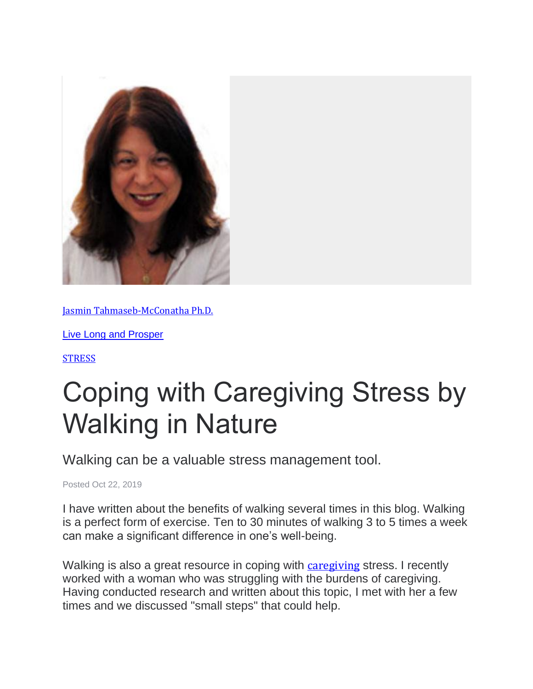

[Jasmin Tahmaseb-McConatha Ph.D.](https://www.psychologytoday.com/us/experts/jasmin-tahmaseb-mcconatha-phd)

[Live Long and Prosper](https://www.psychologytoday.com/us/blog/live-long-and-prosper)

**[STRESS](https://www.psychologytoday.com/us/basics/stress)** 

## Coping with Caregiving Stress by Walking in Nature

Walking can be a valuable stress management tool.

Posted Oct 22, 2019

I have written about the benefits of walking several times in this blog. Walking is a perfect form of exercise. Ten to 30 minutes of walking 3 to 5 times a week can make a significant difference in one's well-being.

Walking is also a great resource in coping with [caregiving](https://www.psychologytoday.com/us/basics/caregiving) stress. I recently worked with a woman who was struggling with the burdens of caregiving. Having conducted research and written about this topic, I met with her a few times and we discussed "small steps" that could help.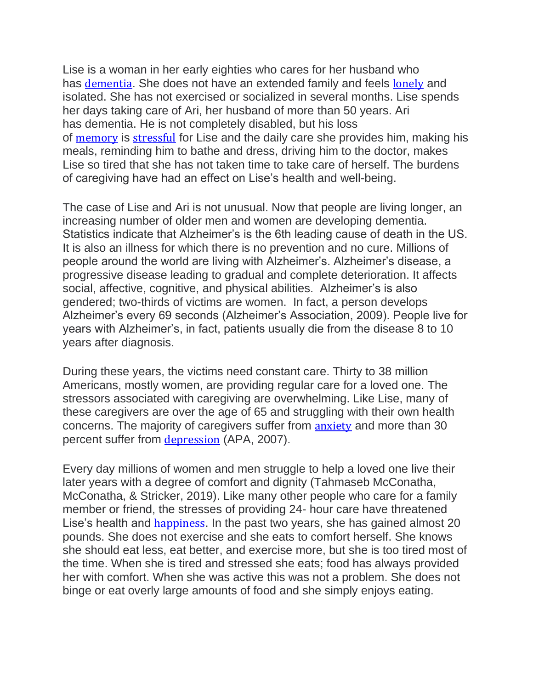Lise is a woman in her early eighties who cares for her husband who has [dementia](https://www.psychologytoday.com/us/basics/dementia). She does not have an extended family and feels [lonely](https://www.psychologytoday.com/us/basics/loneliness) and isolated. She has not exercised or socialized in several months. Lise spends her days taking care of Ari, her husband of more than 50 years. Ari has dementia. He is not completely disabled, but his loss of [memory](https://www.psychologytoday.com/us/basics/memory) is [stressful](https://www.psychologytoday.com/us/basics/stress) for Lise and the daily care she provides him, making his meals, reminding him to bathe and dress, driving him to the doctor, makes Lise so tired that she has not taken time to take care of herself. The burdens of caregiving have had an effect on Lise's health and well-being.

The case of Lise and Ari is not unusual. Now that people are living longer, an increasing number of older men and women are developing dementia. Statistics indicate that Alzheimer's is the 6th leading cause of death in the US. It is also an illness for which there is no prevention and no cure. Millions of people around the world are living with Alzheimer's. Alzheimer's disease, a progressive disease leading to gradual and complete deterioration. It affects social, affective, cognitive, and physical abilities. Alzheimer's is also gendered; two-thirds of victims are women. In fact, a person develops Alzheimer's every 69 seconds (Alzheimer's Association, 2009). People live for years with Alzheimer's, in fact, patients usually die from the disease 8 to 10 years after diagnosis.

During these years, the victims need constant care. Thirty to 38 million Americans, mostly women, are providing regular care for a loved one. The stressors associated with caregiving are overwhelming. Like Lise, many of these caregivers are over the age of 65 and struggling with their own health concerns. The majority of caregivers suffer from [anxiety](https://www.psychologytoday.com/us/basics/anxiety) and more than 30 percent suffer from [depression](https://www.psychologytoday.com/us/basics/depression) (APA, 2007).

Every day millions of women and men struggle to help a loved one live their later years with a degree of comfort and dignity (Tahmaseb McConatha, McConatha, & Stricker, 2019). Like many other people who care for a family member or friend, the stresses of providing 24- hour care have threatened Lise's health and [happiness](https://www.psychologytoday.com/us/basics/happiness). In the past two years, she has gained almost 20 pounds. She does not exercise and she eats to comfort herself. She knows she should eat less, eat better, and exercise more, but she is too tired most of the time. When she is tired and stressed she eats; food has always provided her with comfort. When she was active this was not a problem. She does not binge or eat overly large amounts of food and she simply enjoys eating.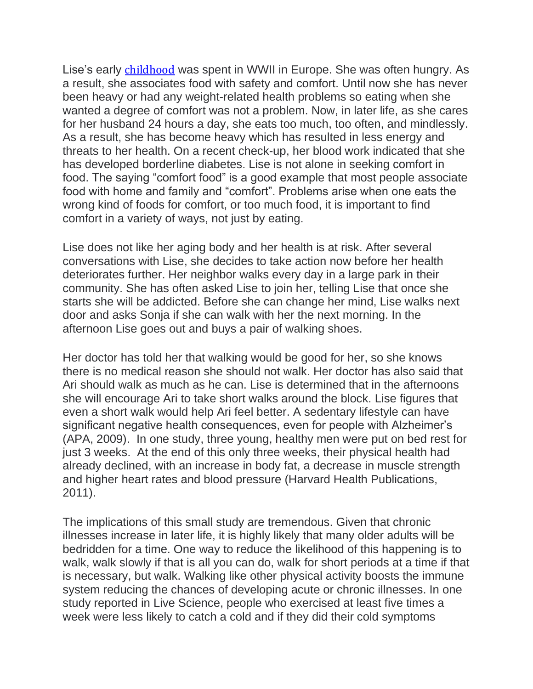Lise's early **[childhood](https://www.psychologytoday.com/us/basics/child-development)** was spent in WWII in Europe. She was often hungry. As a result, she associates food with safety and comfort. Until now she has never been heavy or had any weight-related health problems so eating when she wanted a degree of comfort was not a problem. Now, in later life, as she cares for her husband 24 hours a day, she eats too much, too often, and mindlessly. As a result, she has become heavy which has resulted in less energy and threats to her health. On a recent check-up, her blood work indicated that she has developed borderline diabetes. Lise is not alone in seeking comfort in food. The saying "comfort food" is a good example that most people associate food with home and family and "comfort". Problems arise when one eats the wrong kind of foods for comfort, or too much food, it is important to find comfort in a variety of ways, not just by eating.

Lise does not like her aging body and her health is at risk. After several conversations with Lise, she decides to take action now before her health deteriorates further. Her neighbor walks every day in a large park in their community. She has often asked Lise to join her, telling Lise that once she starts she will be addicted. Before she can change her mind, Lise walks next door and asks Sonja if she can walk with her the next morning. In the afternoon Lise goes out and buys a pair of walking shoes.

Her doctor has told her that walking would be good for her, so she knows there is no medical reason she should not walk. Her doctor has also said that Ari should walk as much as he can. Lise is determined that in the afternoons she will encourage Ari to take short walks around the block. Lise figures that even a short walk would help Ari feel better. A sedentary lifestyle can have significant negative health consequences, even for people with Alzheimer's (APA, 2009). In one study, three young, healthy men were put on bed rest for just 3 weeks. At the end of this only three weeks, their physical health had already declined, with an increase in body fat, a decrease in muscle strength and higher heart rates and blood pressure (Harvard Health Publications, 2011).

The implications of this small study are tremendous. Given that chronic illnesses increase in later life, it is highly likely that many older adults will be bedridden for a time. One way to reduce the likelihood of this happening is to walk, walk slowly if that is all you can do, walk for short periods at a time if that is necessary, but walk. Walking like other physical activity boosts the immune system reducing the chances of developing acute or chronic illnesses. In one study reported in Live Science, people who exercised at least five times a week were less likely to catch a cold and if they did their cold symptoms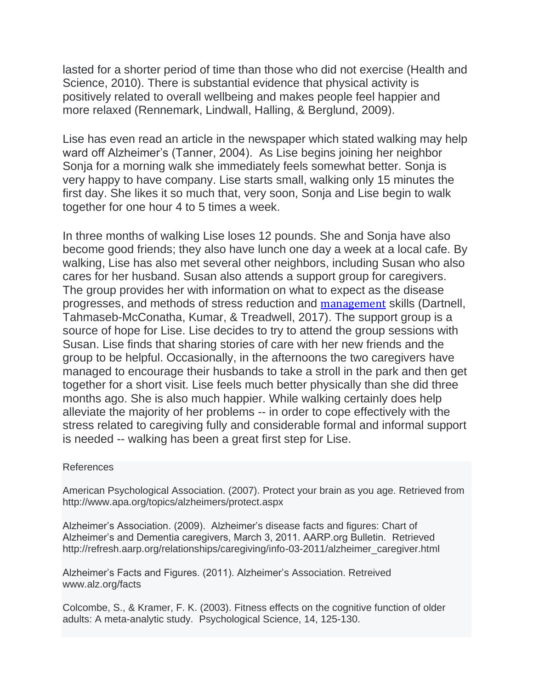lasted for a shorter period of time than those who did not exercise (Health and Science, 2010). There is substantial evidence that physical activity is positively related to overall wellbeing and makes people feel happier and more relaxed (Rennemark, Lindwall, Halling, & Berglund, 2009).

Lise has even read an article in the newspaper which stated walking may help ward off Alzheimer's (Tanner, 2004). As Lise begins joining her neighbor Sonja for a morning walk she immediately feels somewhat better. Sonja is very happy to have company. Lise starts small, walking only 15 minutes the first day. She likes it so much that, very soon, Sonja and Lise begin to walk together for one hour 4 to 5 times a week.

In three months of walking Lise loses 12 pounds. She and Sonja have also become good friends; they also have lunch one day a week at a local cafe. By walking, Lise has also met several other neighbors, including Susan who also cares for her husband. Susan also attends a support group for caregivers. The group provides her with information on what to expect as the disease progresses, and methods of stress reduction and [management](https://www.psychologytoday.com/us/basics/leadership) skills (Dartnell, Tahmaseb-McConatha, Kumar, & Treadwell, 2017). The support group is a source of hope for Lise. Lise decides to try to attend the group sessions with Susan. Lise finds that sharing stories of care with her new friends and the group to be helpful. Occasionally, in the afternoons the two caregivers have managed to encourage their husbands to take a stroll in the park and then get together for a short visit. Lise feels much better physically than she did three months ago. She is also much happier. While walking certainly does help alleviate the majority of her problems -- in order to cope effectively with the stress related to caregiving fully and considerable formal and informal support is needed -- walking has been a great first step for Lise.

## References

American Psychological Association. (2007). Protect your brain as you age. Retrieved from http://www.apa.org/topics/alzheimers/protect.aspx

Alzheimer's Association. (2009). Alzheimer's disease facts and figures: Chart of Alzheimer's and Dementia caregivers, March 3, 2011. AARP.org Bulletin. Retrieved http://refresh.aarp.org/relationships/caregiving/info-03-2011/alzheimer\_caregiver.html

Alzheimer's Facts and Figures. (2011). Alzheimer's Association. Retreived www.alz.org/facts

Colcombe, S., & Kramer, F. K. (2003). Fitness effects on the cognitive function of older adults: A meta-analytic study. Psychological Science, 14, 125-130.